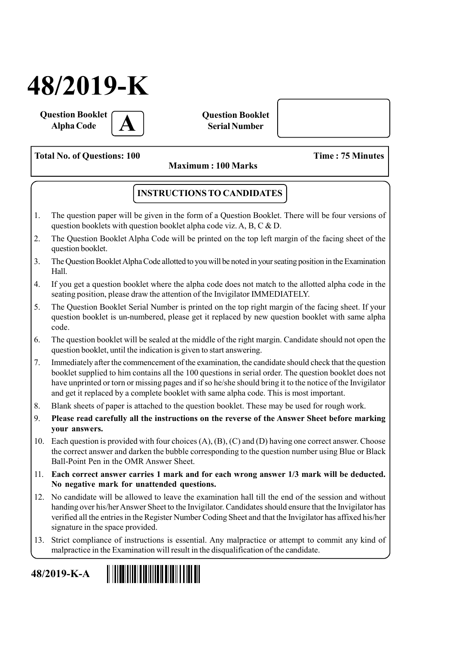# 48/2019-K

Question Booklet **Alpha Code** 



Question Booklet Serial Number

# Total No. of Ouestions: 100 Time : 75 Minutes

## Maximum : 100 Marks

# INSTRUCTIONS TO CANDIDATES

- 1. The question paper will be given in the form of a Question Booklet. There will be four versions of question booklets with question booklet alpha code viz. A, B, C & D.
- 2. The Question Booklet Alpha Code will be printed on the top left margin of the facing sheet of the question booklet.
- 3. The Question Booklet Alpha Code allotted to you will be noted in your seating position in the Examination Hall.
- 4. If you get a question booklet where the alpha code does not match to the allotted alpha code in the seating position, please draw the attention of the Invigilator IMMEDIATELY.
- 5. The Question Booklet Serial Number is printed on the top right margin of the facing sheet. If your question booklet is un-numbered, please get it replaced by new question booklet with same alpha code.
- 6. The question booklet will be sealed at the middle of the right margin. Candidate should not open the question booklet, until the indication is given to start answering.
- 7. Immediately after the commencement of the examination, the candidate should check that the question booklet supplied to him contains all the 100 questions in serial order. The question booklet does not have unprinted or torn or missing pages and if so he/she should bring it to the notice of the Invigilator and get it replaced by a complete booklet with same alpha code. This is most important.
- 8. Blank sheets of paper is attached to the question booklet. These may be used for rough work.
- 9. Please read carefully all the instructions on the reverse of the Answer Sheet before marking your answers.
- 10. Each question is provided with four choices (A), (B), (C) and (D) having one correct answer. Choose the correct answer and darken the bubble corresponding to the question number using Blue or Black Ball-Point Pen in the OMR Answer Sheet.
- 11. Each correct answer carries 1 mark and for each wrong answer 1/3 mark will be deducted. No negative mark for unattended questions.
- 12. No candidate will be allowed to leave the examination hall till the end of the session and without handing over his/her Answer Sheet to the Invigilator. Candidates should ensure that the Invigilator has verified all the entries in the Register Number Coding Sheet and that the Invigilator has affixed his/her signature in the space provided.
- 13. Strict compliance of instructions is essential. Any malpractice or attempt to commit any kind of malpractice in the Examination will result in the disqualification of the candidate.

<u> A ANTINANTI MATEMATI A SHI</u> 48/2019-K-A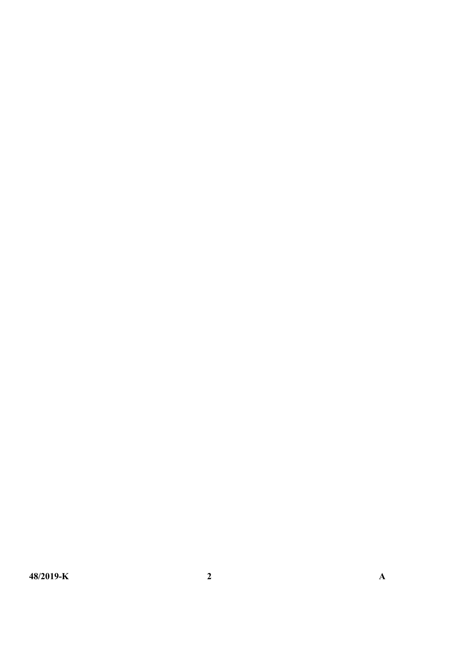48/2019-K 2 A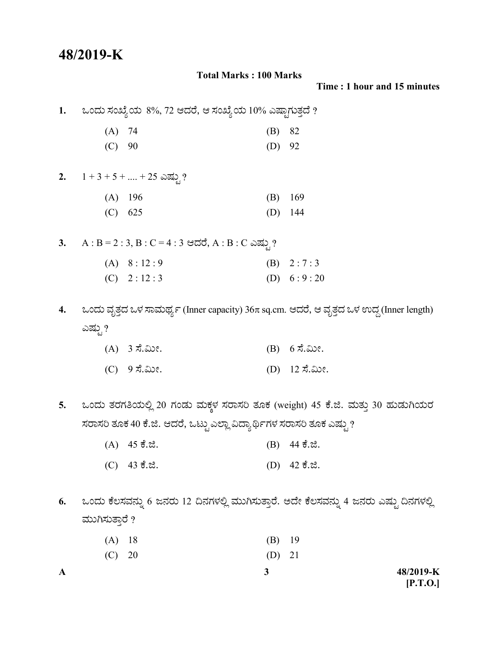# 48/2019-K

Total Marks : 100 Marks

Time : 1 hour and 15 minutes

1. ಒಂದು ಸಂಖ್ಯೆಯ 8%, 72 ಆದರೆ, ಆ ಸಂಖ್ಯೆಯ 10% ಎಷ್ಟಾಗುತ್ತದೆ ? (A) 74 (B) 82 (C) 90 (D) 92 2.  $1 + 3 + 5 + \dots + 25$   $\omega \overline{\omega}_d$ ? (A) 196 (B) 169 (C) 625 (D) 144 3. A :  $B = 2 : 3, B : C = 4 : 3$  ಆದರೆ,  $A : B : C$  ಎಷ್ಟು ? (A)  $8:12:9$  (B)  $2:7:3$ (C)  $2:12:3$  (D)  $6:9:20$ 4. ಒಂದು ವೃತ್ತದ ಒಳ ಸಾಮರ್ಥ್ಯ (Inner capacity)  $36\pi$  sq.cm. ಆದರೆ, ಆ ವೃತ್ತದ ಒಳ ಉದ್ದ (Inner length) ಎಷ್ಟು ? (A)  $3\pi$ . (B)  $6\pi$ . (B)  $6\pi$ . (B)  $6\pi$ .

(C)  $9\pi$ . (D)  $12\pi$ . (D)  $12\pi$ . (D)

5. ಒಂದು ತರಗತಿಯಲ್ಲಿ 20 ಗಂಡು ಮಕ್ಕಳ ಸರಾಸರಿ ತೂಕ (weight) 45 ಕೆ.ಜಿ. ಮತ್ತು 30 ಹುಡುಗಿಯರ ಸರಾಸರಿ ತೂಕ 40 ಕೆ.ಜಿ. ಆದರೆ, ಒಟ್ಟು ಎಲ್ಲಾ ವಿದ್ಯಾರ್ಥಿಗಳ ಸರಾಸರಿ ತೂಕ ಎಷ್ಟು ?

- (A)  $45 \, \texttt{\hat{t}} \cdot \texttt{\hat{z}}$ . (B)  $44 \, \texttt{\hat{t}} \cdot \texttt{\hat{z}}$ .
- (C)  $43 \, \texttt{\hat{t}} \texttt{.} \texttt{\hat{z}}$ .<br>(D)  $42 \, \texttt{\hat{t}} \texttt{.} \texttt{\hat{z}}$ .
- 6. ಒಂದು ಕೆಲಸವನ್ನು 6 ಜನರು 12 ದಿನಗಳಲ್ಲಿ ಮುಗಿಸುತ್ತಾರೆ. ಅದೇ ಕೆಲಸವನ್ನು 4 ಜನರು ಎಷ್ಟು ದಿನಗಳಲ್ಲಿ ಮುಗಿಸುತ್ತಾರೆ ?

| $(A)$ 18 | $(B)$ 19 |
|----------|----------|
|----------|----------|

- (C) 20 (D) 21
	-

A  $3$  48/2019-K  $[P.T.O.]$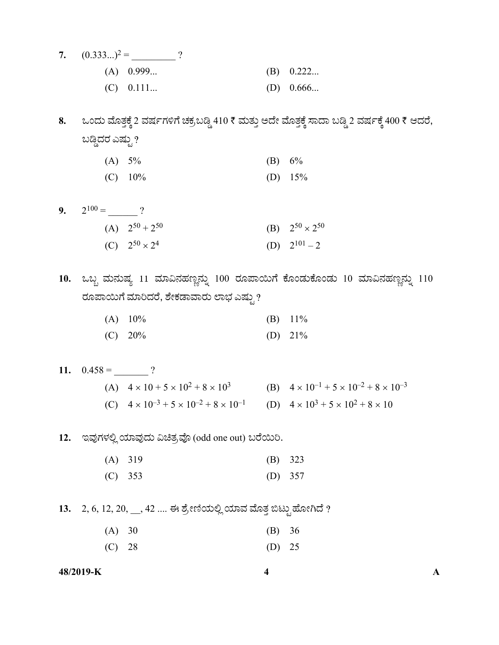7.  $(0.333...)^2 =$  ? (A) 0.999... (B) 0.222... (C)  $0.111...$  (D)  $0.666...$ 

8. ಒಂದು ಮೊತ್ತಕ್ಕೆ 2 ವರ್ಷಗಳಿಗೆ ಚಕ್ರಬಡ್ಡಿ 410 ₹ ಮತ್ತು ಅದೇ ಮೊತ್ತಕ್ಕೆ ಸಾದಾ ಬಡ್ಡಿ 2 ವರ್ಷಕ್ಕೆ 400 ₹ ಆದರೆ, ಬಡ್ಡಿದರ ಎಷ್ಟು ?

- (A) 5% (B) 6%
- (C) 10% (D) 15%
- 9.  $2^{100} = ?$ (A)  $2^{50} + 2^{50}$  (B)  $2^{50} \times 2^{50}$ (C)  $2^{50} \times 2^4$ (D)  $2^{101} - 2$

 $10.$  ಒಬ್ಬ ಮನುಷ್ಯ 11 ಮಾವಿನಹಣ್ಣನ್ನು 100 ರೂಪಾಯಿಗೆ ಕೊಂಡುಕೊಂಡು 10 ಮಾವಿನಹಣ್ಣನ್ನು 110 ರೂಪಾಯಿಗೆ ಮಾರಿದರೆ, ಶೇಕಡಾವಾರು ಲಾಭ ಎಷ್ಟು ?

- (A) 10% (B) 11% (C) 20% (D) 21%
- 11.  $0.458 =$  ? (A)  $4 \times 10 + 5 \times 10^2 + 8 \times 10^3$  (B)  $4 \times 10^{-1} + 5 \times 10^{-2} + 8 \times 10^{-3}$ (C)  $4 \times 10^{-3} + 5 \times 10^{-2} + 8 \times 10^{-1}$  (D)  $4 \times 10^{3} + 5 \times 10^{2} + 8 \times 10$

12. ಇವುಗಳಲ್ಲಿ ಯಾವುದು ವಿಚಿತ್ರವೊ (odd one out) ಬರೆಯಿರಿ.

- (A) 319 (B) 323
- (C) 353 (D) 357

13.  $2, 6, 12, 20, \underline{\hspace{1cm}}, 42 \dots$  ಈ ಶ್ರೇಣಿಯಲ್ಲಿ ಯಾವ ಮೊತ್ತ ಬಿಟ್ಟು ಹೋಗಿದೆ ?

| (A) 30 | (B) 36 |  |
|--------|--------|--|
| (C) 28 | (D) 25 |  |

#### $48/2019-K$  A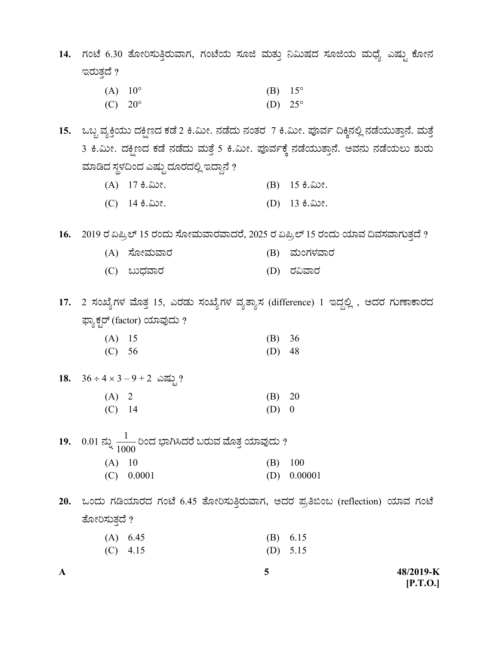14. ಗಂಟೆ 6.30 ತೋರಿಸುತ್ತಿರುವಾಗ, ಗಂಟೆಯ ಸೂಜಿ ಮತ್ತು ನಿಮಿಷದ ಸೂಜಿಯ ಮಧ್ಯೆ ಎಷ್ಟು ಕೋನ ಇರುತ್ತದೆ ?

| $(A) 10^{\circ}$      | (B) $15^{\circ}$ |  |
|-----------------------|------------------|--|
| $(C)$ 20 <sup>o</sup> | (D) $25^{\circ}$ |  |

15. ಒಬ್ಬ ವ್ಯಕ್ತಿಯು ದಕ್ಷಿಣದ ಕಡೆ 2 ಕಿ.ಮೀ. ನಡೆದು ನಂತರ 7 ಕಿ.ಮೀ. ಪೂರ್ವ ದಿಕ್ಕಿನಲ್ಲಿ ನಡೆಯುತ್ತಾನೆ. ಮತ್ತೆ 3 ಕಿ.ಮೀ. ದಕ್ಷಿಣದ ಕಡೆ ನಡೆದು ಮತ್ತೆ 5 ಕಿ.ಮೀ. ಪೂರ್ವಕ್ಕೆ ನಡೆಯುತ್ತಾನೆ. ಅವನು ನಡೆಯಲು ಶುರು ಮಾಡಿದ ಸ್ಥಳದಿಂದ ಎಷ್ಟು ದೂರದಲ್ಲಿ ಇದ್ದಾನೆ ?

- (A)  $17 \text{ } 3.20$  (B)  $15 \text{ } 3.20$  (B)  $15 \text{ } 3.20$  (B)  $15 \text{ } 3.20$  (B)  $15 \text{ } 3.20$  (B)  $15 \text{ } 3.20$  (B)  $15 \text{ } 3.20$  (B)  $15 \text{ } 3.20$  (B)  $15 \text{ } 3.20$  (B)  $15 \text{ } 3.20$  (B)  $15 \text{ } 3.20$  (B)  $15 \text{ } 3.20$  (B)
- (C)  $14 \text{ d.}$   $\omega$ . (D)  $13 \text{ d.}$   $\omega$ .

16.  $2019$  ರ ಏಪ್ರಿಲ್ 15 ರಂದು ಸೋಮವಾರವಾದರೆ, 2025 ರ ಏಪ್ರಿಲ್ 15 ರಂದು ಯಾವ ದಿವಸವಾಗುತ್ತದೆ ?

- (A) (B)
- (C) (D)

17. 2 ಸಂಖ್ಯೆಗಳ ಮೊತ್ತ 15, ಎರಡು ಸಂಖ್ಯೆಗಳ ವ್ಯತ್ಯಾಸ (difference) 1 ಇದ್ದಲ್ಲಿ , ಅದರ ಗುಣಾಕಾರದ ಘ್ಯಾಕ್ಚರ್ (factor) ಯಾವುದು ?

| $(A)$ 15 | (B) 36   |  |
|----------|----------|--|
| (C) 56   | $(D)$ 48 |  |

|          | 18. $36 \div 4 \times 3 - 9 + 2$ ಎಷ್ಟು? |         |
|----------|-----------------------------------------|---------|
| $(A)$ 2  |                                         | (B) 20  |
| $(C)$ 14 |                                         | $(D)$ 0 |

|          |              | 19. $\,$ $\,$ 0.01 ನ್ನು $\frac{1}{1000}$ ರಿಂದ ಭಾಗಿಸಿದರೆ ಬರುವ ಮೊತ್ತ ಯಾವುದು ? |           |               |
|----------|--------------|-----------------------------------------------------------------------------|-----------|---------------|
| $(A)$ 10 |              |                                                                             | $(B)$ 100 |               |
|          | $(C)$ 0.0001 |                                                                             |           | $(D)$ 0.00001 |

 $20.$  ಒಂದು ಗಡಿಯಾರದ ಗಂಟೆ  $6.45$  ತೋರಿಸುತ್ತಿರುವಾಗ, ಅದರ ಪ್ರತಿಬಿಂಬ (reflection) ಯಾವ ಗಂಟೆ ತೋರಿಸುತ್ತದೆ ?

| $(A)$ 6.45 | $(B)$ 6.15 |
|------------|------------|
| $(C)$ 4.15 | (D) $5.15$ |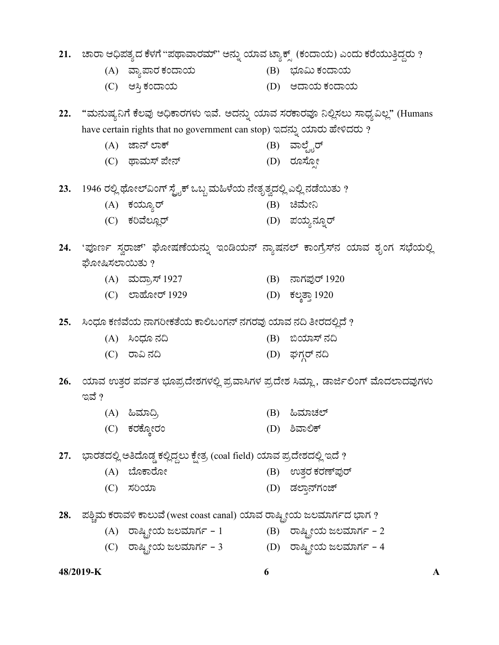- 21. ಚಾರಾ ಆಧಿಪತ್ಯದ ಕೆಳಗೆ ''ಪಥಾವಾರಮ್" ಅನ್ನು ಯಾವ ಟ್ಯಾಕ್ಸ್ (ಕಂದಾಯ) ಎಂದು ಕರೆಯುತ್ತಿದ್ದರು ?
	- (A) ವ್ಯಾಪಾರ ಕಂದಾಯ (B) ಭೂಮಿ ಕಂದಾಯ
		- (C) ಆಸ್ತಿ ಕಂದಾಯ (D) ಆದಾಯ ಕಂದಾಯ

22. "ಮನುಷ್ಯನಿಗೆ ಕೆಲವು ಅಧಿಕಾರಗಳು ಇವೆ. ಅದನ್ನು ಯಾವ ಸರಕಾರವೂ ನಿಲ್ಲಿಸಲು ಸಾಧ್ಯವಿಲ್ಲ" (Humans have certain rights that no government can stop) ಇದನ್ನು ಯಾರು ಹೇಳಿದರು ?

- (A) (B)
- (C) (D)
- 23. 1946 ರಲ್ಲಿ ಥೋಲ್ಎಂಗ್ ಸ್ಟೈಕ್ ಒಬ್ಬ ಮಹಿಳೆಯ ನೇತೃತ್ವದಲ್ಲಿ ಎಲ್ಲಿ ನಡೆಯಿತು ?
	- (A) ಕಯ್ಯೂರ್ (B) ಚಿಮೇನಿ (C) (D)
- 24. 'ಪೂರ್ಣ ಸ್ವರಾಜ್' ಘೋಷಣೆಯನ್ನು ಇಂಡಿಯನ್ ನ್ಯಾಷನಲ್ ಕಾಂಗ್ರೆಸ್ನ ಯಾವ ಶೃಂಗ ಸಭೆಯಲ್ಲಿ ಘೋಷಿಸಲಾಯಿತು ?
	- (A) 1927 (B) 1920
	- (C) 1929 (D) 1920
- 25. ಸಿಂಧೂ ಕಣಿವೆಯ ನಾಗರೀಕತೆಯ ಕಾಲಿಬಂಗನ್ ನಗರವು ಯಾವ ನದಿ ತೀರದಲ್ಲಿದೆ ?
	- (A) (B)
	- (C) (D)

26. ಯಾವ ಉತ್ತರ ಪರ್ವತ ಭೂಪ್ರದೇಶಗಳಲ್ಲಿ ಪ್ರವಾಸಿಗಳ ಪ್ರದೇಶ ಸಿಮ್ಲಾ, ಡಾರ್ಜಿಲಿಂಗ್ ಮೊದಲಾದವುಗಳು ಇವೆ ?

- (A) (B) (C) (D)
- 
- 27. ಭಾರತದಲ್ಲಿ ಅತಿದೊಡ್ಡ ಕಲ್ಲಿದ್ದಲು ಕ್ಷೇತ್ರ (coal field) ಯಾವ ಪ್ರದೇಶದಲ್ಲಿ ಇದೆ ?
	- (A) (B)
	- (C) (D)
- 28. ಪಶ್ಚಿಮ ಕರಾವಳಿ ಕಾಲುವೆ (west coast canal) ಯಾವ ರಾಷ್ಟ್ರೀಯ ಜಲಮಾರ್ಗದ ಭಾಗ ?
- (A) ರಾಷ್ಟ್ರೀಯ ಜಲಮಾರ್ಗ 1 (B) ರಾಷ್ಟ್ರೀಯ ಜಲಮಾರ್ಗ 2
- (C) ರಾಷ್ಟ್ರೀಯ ಜಲಮಾರ್ಗ 3 (D) ರಾಷ್ಟ್ರೀಯ ಜಲಮಾರ್ಗ 4

#### $48/2019-K$  6 A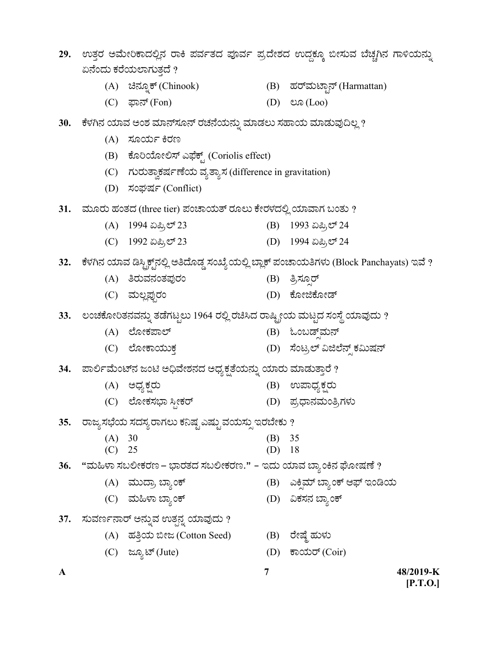| 29.          |                        |                                                                            |     | ಉತ್ತರ ಅಮೇರಿಕಾದಲ್ಲಿನ ರಾಕಿ ಪರ್ವತದ ಪೂರ್ವ ಪ್ರದೇಶದ ಉದ್ದಕ್ಕೂ ಬೀಸುವ ಬೆಚ್ಚಗಿನ ಗಾಳಿಯನ್ನು                |  |  |
|--------------|------------------------|----------------------------------------------------------------------------|-----|------------------------------------------------------------------------------------------------|--|--|
|              | ಏನೆಂದು ಕರೆಯಲಾಗುತ್ತದೆ ? |                                                                            |     |                                                                                                |  |  |
|              |                        | (A) ಚಿನ್ನೂಕ್ (Chinook)                                                     |     | (B) ಹರ್ಮುಟ್ಟಾನ್ (Harmattan)                                                                    |  |  |
|              |                        | $(C)$ ಫಾನ್ (Fon)                                                           |     | $(D)$ $\infty$ $(Loo)$                                                                         |  |  |
| 30.          |                        | ಕೆಳಗಿನ ಯಾವ ಅಂಶ ಮಾನ್ಸೂನ್ ರಚನೆಯನ್ನು ಮಾಡಲು ಸಹಾಯ ಮಾಡುವುದಿಲ್ಲ ?                 |     |                                                                                                |  |  |
|              |                        | (A) ಸೂರ್ಯ ಕಿರಣ                                                             |     |                                                                                                |  |  |
|              |                        | (B) ಕೊರಿಯೋಲಿಸ್ ಎಫೆಕ್ಟ್ (Coriolis effect)                                   |     |                                                                                                |  |  |
|              |                        | (C) ಗುರುತ್ತಾಕರ್ಷಣೆಯ ವ್ಯತ್ಯಾಸ (difference in gravitation)                   |     |                                                                                                |  |  |
|              |                        | (D) ಸಂಘರ್ಷ (Conflict)                                                      |     |                                                                                                |  |  |
| 31.          |                        | ಮೂರು ಹಂತದ (three tier) ಪಂಚಾಯತ್ ರೂಲು ಕೇರಳದಲ್ಲಿ ಯಾವಾಗ ಬಂತು ?                 |     |                                                                                                |  |  |
|              |                        | (A) 1994 ಏಪ್ರಿಲ್ 23                                                        |     | (B) 1993 ಏಪ್ರಿಲ್ 24                                                                            |  |  |
|              |                        | (C) 1992 ಏಪ್ರಿಲ್ 23                                                        |     | (D) 1994 ಏಪ್ರಿಲ್ 24                                                                            |  |  |
| 32.          |                        |                                                                            |     | ಕೆಳಗಿನ ಯಾವ ಡಿಸ್ಟ್ರಿಕ್ಟ್ರ್ನಲ್ಲಿ ಅತಿದೊಡ್ಡ ಸಂಖ್ಯೆಯಲ್ಲಿ ಬ್ಲಾಕ್ ಪಂಚಾಯತಿಗಳು (Block Panchayats) ಇವೆ ? |  |  |
|              |                        | (A) ತಿರುವನಂತಪುರಂ                                                           |     | (B) ತ್ರಿಸ್ಪೂರ್                                                                                 |  |  |
|              |                        | (C) ಮಲ್ಲಪ್ಪರಂ                                                              |     | (D) ಕೋಜಿಕೋಡ್                                                                                   |  |  |
| 33.          |                        | ಲಂಚಕೋರಿತನವನ್ನು ತಡೆಗಟ್ಟಲು 1964 ರಲ್ಲಿ ರಚಿಸಿದ ರಾಷ್ಟ್ರೀಯ ಮಟ್ಟದ ಸಂಸ್ಥೆ ಯಾವುದು ? |     |                                                                                                |  |  |
|              |                        | (A) ಲೋಕಪಾಲ್                                                                |     | (B) ಓಂಬಡ್ಷ್ ಮನ್                                                                                |  |  |
|              |                        | (C) ಲೋಕಾಯುಕ್ತ                                                              |     | (D) ಸೆಂಟ್ರಲ್ ವಿಜಿಲೆನ್ಸ್ ಕಮಿಷನ್                                                                 |  |  |
| 34.          |                        | ಪಾರ್ಲಿಮೆಂಟ್ನ ಜಂಟಿ ಅಧಿವೇಶನದ ಅಧ್ಯಕ್ಷತೆಯನ್ನು ಯಾರು ಮಾಡುತ್ತಾರೆ ?                |     |                                                                                                |  |  |
|              |                        | (A) ಅಧ್ಯಕ್ಷರು                                                              |     | (B) ಉಪಾಧ್ಯಕ್ಷರು                                                                                |  |  |
|              |                        | (C) ಲೋಕಸಭಾ ಸೀಕರ್                                                           |     | (D) ಪ್ರಧಾನಮಂತ್ರಿಗಳು                                                                            |  |  |
| <b>35.</b>   |                        | ರಾಜ್ಯಸಭೆಯ ಸದಸ್ಯರಾಗಲು ಕನಿಷ್ಟ ಎಷ್ಟು ವಯಸ್ಸು ಇರಬೇಕು ?                          |     |                                                                                                |  |  |
|              | (A) 30                 |                                                                            | (B) | 35                                                                                             |  |  |
|              | (C)                    | 25                                                                         | (D) | 18                                                                                             |  |  |
| 36.          |                        | "ಮಹಿಳಾ ಸಬಲೀಕರಣ – ಭಾರತದ ಸಬಲೀಕರಣ." – ಇದು ಯಾವ ಬ್ಯಾಂಕಿನ ಘೋಷಣೆ ?                |     |                                                                                                |  |  |
|              |                        | (A) ಮುದ್ರಾ ಬ್ಯಾಂಕ್<br>(C) ಮಹಿಳಾ ಬ್ಯಾಂಕ್                                    |     | (B) ಎಕ್ಸಿಮ್ ಬ್ಯಾಂಕ್ ಆಫ್ ಇಂಡಿಯ<br>(D) ವಿಕಸನ ಬ್ಯಾಂಕ್                                             |  |  |
|              |                        |                                                                            |     |                                                                                                |  |  |
| 37.          |                        | ಸುವರ್ಣನಾರ್ ಅನ್ನುವ ಉತ್ಪನ್ನ ಯಾವುದು ?                                         |     |                                                                                                |  |  |
|              |                        | (A) ಹತ್ತಿಯ ಬೀಜ (Cotton Seed)                                               | (B) | ರೇಷ್ಠೆ ಹುಳು                                                                                    |  |  |
|              |                        | (C) ಜ್ಯೂಟ್ (Jute)                                                          | (D) | ಕಾಯರ್ (Coir)                                                                                   |  |  |
| $\mathbf{A}$ |                        |                                                                            | 7   | 48/2019-K                                                                                      |  |  |

[P.T.O.]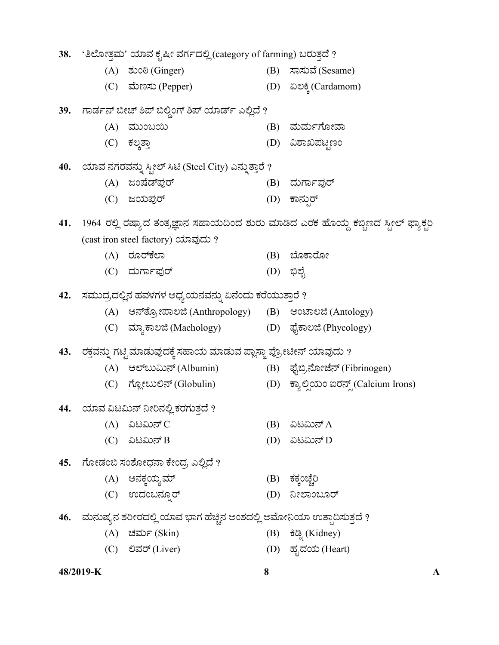|     | 48/2019-K |                                                                                      | 8   | A                                                                                   |
|-----|-----------|--------------------------------------------------------------------------------------|-----|-------------------------------------------------------------------------------------|
|     | (C)       | ಲಿವರ್ (Liver)                                                                        |     | (D) ಹೃದಯ (Heart)                                                                    |
|     |           | (A) ಚರ್ಮ (Skin)                                                                      |     | (B) ಕಿಡ್ನಿ (Kidney)                                                                 |
| 46. |           | ಮನುಷ್ಯನ ಶರೀರದಲ್ಲಿ ಯಾವ ಭಾಗ ಹೆಚ್ಚಿನ ಅಂಶದಲ್ಲಿ ಅಮೋನಿಯಾ ಉತ್ಪಾದಿಸುತ್ತದೆ ?                  |     |                                                                                     |
|     |           | (C) ಉದಂಬನ್ನೂರ್                                                                       | (D) | ನೀಲಾಂಬೂರ್                                                                           |
|     |           | (A) ಆನಕ್ಕಯ್ಯಮ್                                                                       | (B) | ಕಕ್ಕಂಚ್ಚರಿ                                                                          |
| 45. |           | ಗೋಡಂಬಿ ಸಂಶೋಧನಾ ಕೇಂದ್ರ ಎಲ್ಲಿದೆ ?                                                      |     |                                                                                     |
|     | (C)       | ವಿಟಮಿನ್ B                                                                            | (D) | ವಿಟಮಿನ್ D                                                                           |
|     | (A)       | ವಿಟಮಿನ್ C                                                                            | (B) | ವಿಟಮಿನ್ A                                                                           |
|     |           | 44. ಯಾವ ವಿಟಮಿನ್ ನೀರಿನಲ್ಲಿ ಕರಗುತ್ತದೆ ?                                                |     |                                                                                     |
|     |           | (C) ಗ್ಲೋಬುಲಿನ್ (Globulin)                                                            |     | (D) ಕ್ಯಾಲ್ಸಿಯಂ ಐರನ್ಸ್ (Calcium Irons)                                               |
|     |           | (A) ಆಲ್ಬುಮಿನ್ (Albumin)                                                              |     | (B) ಪೈಬ್ರಿನೋಜೆನ್ (Fibrinogen)                                                       |
| 43. |           | ರಕ್ತವನ್ನು ಗಟ್ಟಿ ಮಾಡುವುದಕ್ಕೆ ಸಹಾಯ ಮಾಡುವ ಪ್ಲಾಸ್ಟಾ ಪ್ರೋಟೀನ್ ಯಾವುದು ?                    |     |                                                                                     |
|     |           |                                                                                      |     |                                                                                     |
|     |           | (A) ಆನ್ ಪ್ರೋಪಾಲಜಿ (Anthropology) (B) ಆಂಟಾಲಜಿ (Antology)<br>(C) ಮ್ಯಾಕಾಲಜಿ (Machology) |     | (D) ಫೈಕಾಲಜಿ (Phycology)                                                             |
| 42. |           | ಸಮುದ್ರದಲ್ಲಿನ ಹವಳಗಳ ಅಧ್ಯಯನವನ್ನು ಏನೆಂದು ಕರೆಯುತ್ತಾರೆ ?                                  |     |                                                                                     |
|     |           |                                                                                      |     |                                                                                     |
|     |           | (C) ದುರ್ಗಾಪುರ್                                                                       |     | (D) ಭಿಲೈ                                                                            |
|     | (A)       | ರೂರ್ಕೆಲಾ                                                                             |     | (B) ಬೊಕಾರೋ                                                                          |
|     |           | (cast iron steel factory) ಯಾವುದು ?                                                   |     |                                                                                     |
| 41. |           |                                                                                      |     | 1964 ರಲ್ಲಿ ರಷ್ಯಾದ ತಂತ್ರಜ್ಞಾನ ಸಹಾಯದಿಂದ ಶುರು ಮಾಡಿದ ಎರಕ ಹೊಯ್ದ ಕಬ್ಬಿಣದ ಸ್ತೀಲ್ ಫ್ಯಾಕ್ಟರಿ |
|     |           | (C) ಜಯಪುರ್                                                                           |     | (D) ಕಾನ್ಸುರ್                                                                        |
|     |           | (A) ಜಂಷೆಡ್ <b>ಪುರ್</b>                                                               |     | (B) ದುರ್ಗಾಪುರ್                                                                      |
| 40. |           | ಯಾವ ನಗರವನ್ನು ಸ್ಟೀಲ್ ಸಿಟಿ (Steel City) ಎನ್ನುತ್ತಾರೆ ?                                  |     |                                                                                     |
|     |           | (C) ಕಲ್ಕತ್ತಾ                                                                         |     | (D) ವಿಶಾಖಪಟ್ಟಣಂ                                                                     |
|     | (A)       | ಮುಂಬಯಿ                                                                               |     | (B) ಮರ್ಮಗೋವಾ                                                                        |
| 39. |           | ಗಾರ್ಡನ್ ಬೀಚ್ ಶಿಪ್ ಬಿಲ್ಡಿಂಗ್ ಶಿಪ್ ಯಾರ್ಡ್ ಎಲ್ಲಿದೆ ?                                    |     |                                                                                     |
|     |           | (C) ಮೆಣಸು (Pepper)                                                                   |     | (D) ಏಲಕ್ಕಿ (Cardamom)                                                               |
|     | (A)       | ಶುಂಠಿ (Ginger)                                                                       |     | (B) ಸಾಸುವೆ (Sesame)                                                                 |
| 38. |           | 'ತಿಲೋತ್ತಮ' ಯಾವ ಕೃಷೀ ವರ್ಗದಲ್ಲಿ (category of farming) ಬರುತ್ತದೆ ?                       |     |                                                                                     |
|     |           |                                                                                      |     |                                                                                     |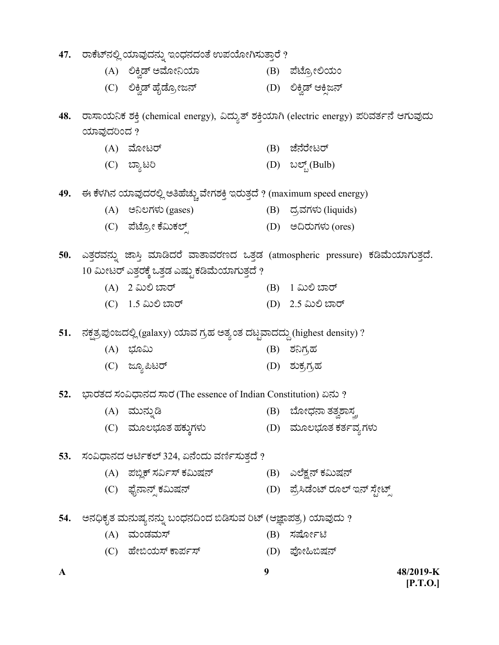47. ರಾಕೆಟ್ ನಲ್ಲಿ ಯಾವುದನ್ನು ಇಂಧನದಂತೆ ಉಪಯೋಗಿಸುತ್ತಾರೆ ?

| (A) ಲಿಕ್ವಿಡ್ ಅಮೋನಿಯಾ   | (B) ಪೆಟ್ರೋಲಿಯಂ        |
|------------------------|-----------------------|
| (C) ಲಿಕ್ವಿಡ್ ಹೈಡ್ರೋಜನ್ | (D) ಲಿಕ್ವಿಡ್ ಆಕ್ಸಿಜನ್ |

48. ರಾಸಾಯನಿಕ ಶಕ್ತಿ (chemical energy), ವಿದ್ಯುತ್ ಶಕ್ತಿಯಾಗಿ (electric energy) ಪರಿವರ್ತನೆ ಆಗುವುದು ಯಾವುದರಿಂದ $?$ 

| (A) ಮೋಟರ್   | (B) ಜೆನೆರೇಟರ್                                      |
|-------------|----------------------------------------------------|
| (C) ಬ್ಯಾಟರಿ | (D) $\omega \mathcal{O}_v^{\epsilon}(\text{Bulb})$ |

- 49. ಈ ಕೆಳಗಿನ ಯಾವುದರಲ್ಲಿ ಅತಿಹೆಚ್ಚು ವೇಗಶಕ್ತಿ ಇರುತ್ತದೆ ? (maximum speed energy)
	- (A) ಅನಿಲಗಳು (gases) (B) ದ್ರವಗಳು (liquids)
	- (C) ಪೆಟ್ರೋ ಕೆಮಿಕಲ್ಸ್ (D) ಅದಿರುಗಳು (ores)
- $50.$  ಎತ್ತರವನ್ನು ಜಾಸ್ತಿ ಮಾಡಿದರೆ ವಾತಾವರಣದ ಒತ್ತಡ (atmospheric pressure) ಕಡಿಮೆಯಾಗುತ್ತದೆ. 10 ಮೀಟರ್ ಎತ್ತರಕ್ಕೆ ಒತ್ತಡ ಎಷ್ಟು ಕಡಿಮೆಯಾಗುತ್ತದೆ ?
	- (A) 2 ಮಿಲಿ ಬಾರ್ (B) 1 ಮಿಲಿ ಬಾರ್
	- (C) 1.5 ಮಿಲಿ ಬಾರ್ (D) 2.5 ಮಿಲಿ ಬಾರ್
- 51. ನಕ್ಷತ್ರಪುಂಜದಲ್ಲಿ (galaxy) ಯಾವ ಗ್ರಹ ಅತ್ಯಂತ ದಟ್ಟವಾದದ್ದು (highest density) ?
	- (A) (B) (C) (D)
- 52. ಭಾರತದ ಸಂವಿಧಾನದ ಸಾರ (The essence of Indian Constitution) ಏನು ?
	- (A) ಮುನ್ನುಡಿ (B) ಬೋಧನಾ ತತ್ವಶಾಸ್ತ್ರ
	- (C) ಮೂಲಭೂತ ಹಕ್ಕುಗಳು (D) ಮೂಲಭೂತ ಕರ್ತವ್ಯಗಳು

 $53.$  ಸಂವಿಧಾನದ ಆರ್ಟಿಕಲ್ 324, ಏನೆಂದು ವರ್ಣಿಸುತ್ತದೆ ?

- (A) ಪಬ್ಲಿಕ್ ಸರ್ವಿಸ್ ಕಮಿಷನ್ (B) ಎಲೆಕ್ಷನ್ ಕಮಿಷನ್
- (C) (D)
- 54. ಅನಧಿಕೃತ ಮನುಷ್ಯನನ್ನು ಬಂಧನದಿಂದ ಬಿಡಿಸುವ ರಿಟ್ (ಆಜ್ಞಾಪತ್ರ) ಯಾವುದು ?
	- (A) (B)
	- (C) ಹೇಬಿಯಸ್ ಕಾರ್ಪಸ್ (D) ಪೋಹಿಬಿಷನ್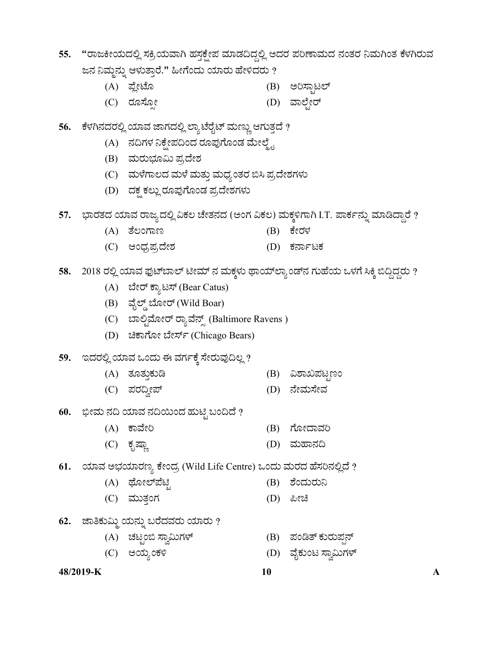- 55. "ರಾಜಕೀಯದಲ್ಲಿ ಸಕ್ರಿಯವಾಗಿ ಹಸ್ತಕ್ಷೇಪ ಮಾಡದಿದ್ದಲ್ಲಿ ಅದರ ಪರಿಣಾಮದ ನಂತರ ನಿಮಗಿಂತ ಕೆಳಗಿರುವ ಜನ ನಿಮ್ಮನ್ನು ಆಳುತ್ತಾರೆ." ಹೀಗೆಂದು ಯಾರು ಹೇಳಿದರು ?
	- (A) ಪ್ಲೇಟೊ (B) ಅರಿಸ್ಟಾಟಲ್
	- (C) ರೂಸೋ (D) ವಾಲೇರ್
- 56. ಕೆಳಗಿನದರಲ್ಲಿ ಯಾವ ಜಾಗದಲ್ಲಿ ಲ್ಯಾಟೆರೈಟ್ ಮಣ್ಣು ಆಗುತ್ತದೆ ?
	- (A) ನದಿಗಳ ನಿಕ್ಷೇಪದಿಂದ ರೂಪುಗೊಂಡ ಮೇಲ್ಮೈ
	- (B) ಮರುಭೂಮಿ ಪ್ರದೇಶ
	- (C) ಮಳೆಗಾಲದ ಮಳೆ ಮತ್ತು ಮಧ್ಯಂತರ ಬಿಸಿ ಪ್ರದೇಶಗಳು
	- (D) ದಕ್ಷ ಕಲ್ಲು ರೂಪುಗೊಂಡ ಪ್ರದೇಶಗಳು
- 57. ಭಾರತದ ಯಾವ ರಾಜ್ಯದಲ್ಲಿ ವಿಕಲ ಚೇತನದ (ಅಂಗ ವಿಕಲ) ಮಕ್ಕಳಿಗಾಗಿ I.T. ಪಾರ್ಕನ್ನು ಮಾಡಿದ್ದಾರೆ ?
	- (A) (B)
	- (C) (D)
- 58. 2018 ರಲ್ಲಿ ಯಾವ ಫುಟ್ಬಾಲ್ ಟೀಮ್ ನ ಮಕ್ಕಳು ಥಾಯ್ಲ್ಯಾಂಡ್ ನಗುಹೆಯ ಒಳಗೆ ಸಿಕ್ಕಿ ಬಿದ್ದಿದ್ದರು ?
	- (A) (Bear Catus)
	- (B) ವೈಲ್ಡ್ ಬೋರ್ (Wild Boar)
	- (C) ಬಾಲ್ಟಿಮೋರ್ ರ್ರ್ಯಾವೆನ್ಸ್ (Baltimore Ravens)
	- (D) (Chicago Bears)
- 59. ಇದರಲ್ಲಿ ಯಾವ ಒಂದು ಈ ವರ್ಗಕ್ಕೆ ಸೇರುವುದಿಲ್ಲ ?
	- (A) (B)
	- (C) ಪರದ್ರೀಪ್ (D) ನೇಮಸೇವ
- 60. ಭೀಮ ನದಿ ಯಾವ ನದಿಯಿಂದ ಹುಟ್ಟಿ ಬಂದಿದೆ ?
	- (A) (B)
	- (C) ಕೃಷ್ಣಾ (D) ಮಹಾನದಿ

61. ಯಾವ ಅಭಯಾರಣ್ಯ ಕೇಂದ್ರ (Wild Life Centre) ಒಂದು ಮರದ ಹೆಸರಿನಲ್ಲಿದೆ ?

- (A) ಥೋಲ್ಪಟ್ಟಿ (B) ಶೆಂದುರುನಿ
- (C) (D)
- 62. ಜಾತಿಕುಮ್ನಿ ಯನ್ನು ಬರೆದವರು ಯಾರು  $\eta$ 
	- (A) ಚಟ್ಟಂಬಿ ಸ್ವಾಮಿಗಳ್ (B) ಪಂಡಿತ್ ಕುರುಪ್ಪನ್
	- (C) (D)

 $48/2019-K$  and  $10$  and  $48/2019-K$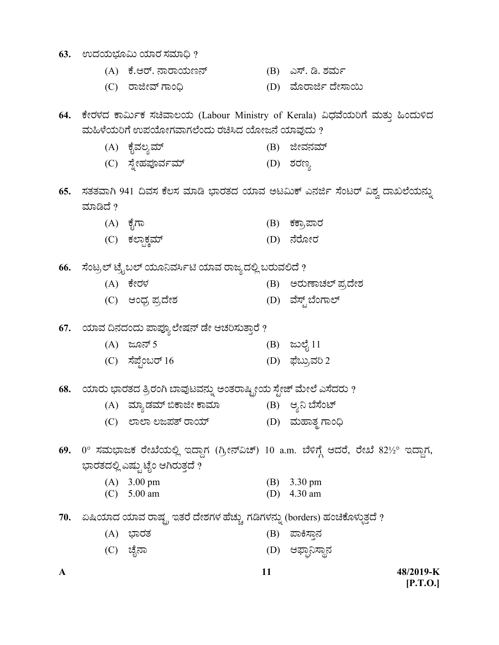- $63.$  ಉದಯಭೂಮಿ ಯಾರ ಸಮಾಧಿ ?
	- (A) ಕೆ.ಆರ್. ನಾರಾಯಣನ್ (B) ಎಸ್. ಡಿ. ಶರ್ಮ
	- (C) (D)
- 64. ಕೇರಳದ ಕಾರ್ಮಿಕ ಸಚಿವಾಲಯ (Labour Ministry of Kerala) ವಿಧವೆಯರಿಗೆ ಮತ್ತು ಹಿಂದುಳಿದ ಮಹಿಳೆಯರಿಗೆ ಉಪಯೋಗವಾಗಲೆಂದು ರಚಿಸಿದ ಯೋಜನೆ ಯಾವುದು ?
	- (A) (B)
	- (C) (D)
- 65. ಸತತವಾಗಿ 941 ದಿವಸ ಕೆಲಸ ಮಾಡಿ ಭಾರತದ ಯಾವ ಅಟಮಿಕ್ ಎನರ್ಜಿ ಸೆಂಟರ್ ವಿಶ್ವ ದಾಖಲೆಯನ್ನು ಮಾಡಿದೆ ?
	- (A) (B)
	- (C) (D)

66. ಸೆಂಟ್ರಲ್ ಟ್ರೈಬಲ್ ಯೂನಿವರ್ಸಿಟಿ ಯಾವ ರಾಜ್ಯದಲ್ಲಿ ಬರುವಲಿದೆ ?

- (A) ಕೇರಳ (B) ಅರುಣಾಚಲ್ ಪ್ರದೇಶ
- (C) (D)

67. ಯಾವ ದಿನದಂದು ಪಾಪ್ಯೂ ಲೇಷನ್ ಡೇ ಆಚರಿಸುತ್ತಾರೆ ?

- (A) ಜೂನ್5 (B) ಜುಲೈ 11
- (C) 16 (D) 2

68. ಯಾರು ಭಾರತದ ತ್ರಿರಂಗಿ ಬಾವುಟವನ್ನು ಅಂತರಾಷ್ಟ್ರೀಯ ಸ್ಟೇಜ್ ಮೇಲೆ ಎಸೆದರು ?

 (A) (B) (C) ಲಾಲಾ ಲಜಪತ್ ರಾಯ್ (D) ಮಹಾತ್ಯ ಗಾಂಧಿ

69.  $0^\circ$  ಸಮಭಾಜಕ ರೇಖೆಯಲ್ಲಿ ಇದ್ದಾಗ (ಗ್ರೀನ್ವಿಚ್) 10 a.m. ಬೆಳಿಗ್ಗೆ ಆದರೆ, ರೇಖೆ 82½ ಇದ್ದಾಗ, ಭಾರತದಲ್ಲಿ ಎಷ್ಟು ಟೈಂ ಆಗಿರುತ್ತದೆ ?

| $(A)$ 3.00 pm         | (B) $3.30 \text{ pm}$ |
|-----------------------|-----------------------|
| (C) $5.00 \text{ am}$ | (D) $4.30 \text{ am}$ |

- ${\bf 70.} \quad$  ಏಷಿಯಾದ ಯಾವ ರಾಷ್ಟ್ರ ಇತರೆ ದೇಶಗಳ ಹೆಚ್ಚು ಗಡಿಗಳನ್ನು (borders) ಹಂಚಿಕೊಳ್ಳುತ್ತದೆ ?
	- (A) (B)
	- (C) ಚೈನಾ (D) ಆಫ್ಘಾನಿಸ್ಥಾನ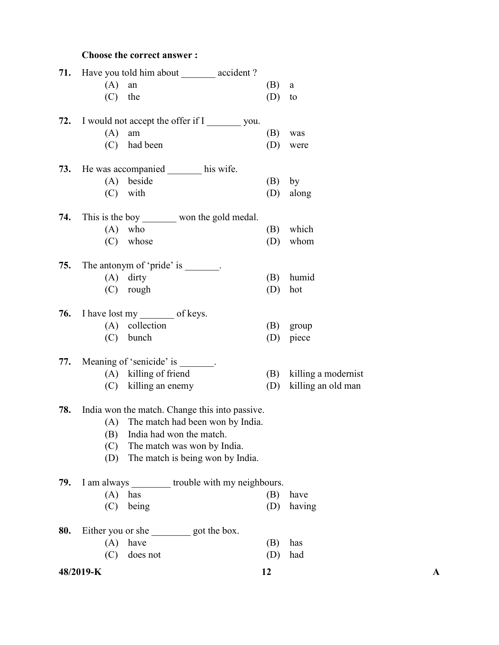### Choose the correct answer :

| 71. |                                                  | Have you told him about ________ accident? |     |                     |   |  |  |  |
|-----|--------------------------------------------------|--------------------------------------------|-----|---------------------|---|--|--|--|
|     | (A)                                              | ${\rm an}$                                 | (B) | $\rm{a}$            |   |  |  |  |
|     | (C)                                              | the                                        | (D) | to                  |   |  |  |  |
| 72. | I would not accept the offer if I _________ you. |                                            |     |                     |   |  |  |  |
|     | (A)                                              | am                                         | (B) | was                 |   |  |  |  |
|     | (C)                                              | had been                                   | (D) | were                |   |  |  |  |
| 73. | He was accompanied _______ his wife.             |                                            |     |                     |   |  |  |  |
|     | (A)                                              | beside                                     | (B) | by                  |   |  |  |  |
|     | (C)                                              | with                                       | (D) | along               |   |  |  |  |
| 74. | This is the boy won the gold medal.              |                                            |     |                     |   |  |  |  |
|     | (A)                                              | who                                        | (B) | which               |   |  |  |  |
|     | (C)                                              | whose                                      | (D) | whom                |   |  |  |  |
| 75. |                                                  | The antonym of 'pride' is ________.        |     |                     |   |  |  |  |
|     | (A)                                              | dirty                                      | (B) | humid               |   |  |  |  |
|     | (C)                                              | rough                                      | (D) | hot                 |   |  |  |  |
| 76. | I have lost my ___________ of keys.              |                                            |     |                     |   |  |  |  |
|     | (A)                                              | collection                                 | (B) | group               |   |  |  |  |
|     | (C)                                              | bunch                                      | (D) | piece               |   |  |  |  |
| 77. |                                                  | Meaning of 'senicide' is                   |     |                     |   |  |  |  |
|     |                                                  | (A) killing of friend                      | (B) | killing a modernist |   |  |  |  |
|     | (C)                                              | killing an enemy                           | (D) | killing an old man  |   |  |  |  |
| 78. | India won the match. Change this into passive.   |                                            |     |                     |   |  |  |  |
|     | (A)                                              | The match had been won by India.           |     |                     |   |  |  |  |
|     |                                                  | (B) India had won the match.               |     |                     |   |  |  |  |
|     | (C)                                              | The match was won by India.                |     |                     |   |  |  |  |
|     | (D)                                              | The match is being won by India.           |     |                     |   |  |  |  |
| 79. | I am always<br>trouble with my neighbours.       |                                            |     |                     |   |  |  |  |
|     | (A)                                              | has                                        | (B) | have                |   |  |  |  |
|     | (C)                                              | being                                      | (D) | having              |   |  |  |  |
| 80. |                                                  | Either you or she ___________ got the box. |     |                     |   |  |  |  |
|     | (A)                                              | have                                       | (B) | has                 |   |  |  |  |
|     | (C)                                              | does not                                   | (D) | had                 |   |  |  |  |
|     | 48/2019-K                                        |                                            | 12  |                     | A |  |  |  |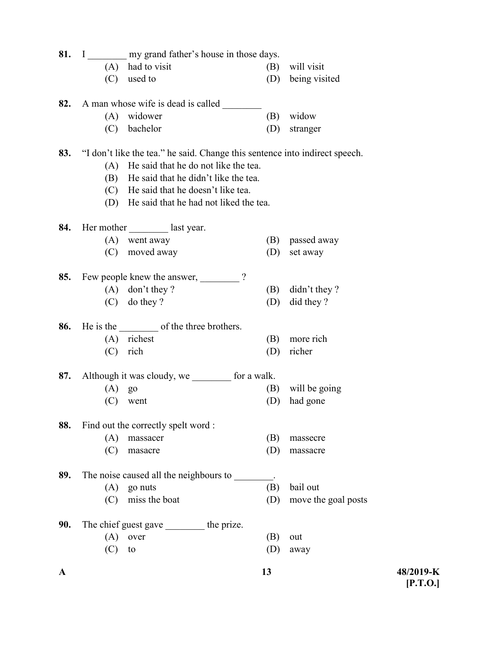| 81. |                                                                                        | I my grand father's house in those days.   |     |                     |  |  |  |
|-----|----------------------------------------------------------------------------------------|--------------------------------------------|-----|---------------------|--|--|--|
|     |                                                                                        | $(A)$ had to visit                         |     | (B) will visit      |  |  |  |
|     |                                                                                        | (C) used to                                |     | (D) being visited   |  |  |  |
| 82. | A man whose wife is dead is called                                                     |                                            |     |                     |  |  |  |
|     |                                                                                        | (A) widower                                | (B) | widow               |  |  |  |
|     |                                                                                        | (C) bachelor                               | (D) | stranger            |  |  |  |
|     | <b>83.</b> "I don't like the tea." he said. Change this sentence into indirect speech. |                                            |     |                     |  |  |  |
|     | (A) He said that he do not like the tea.                                               |                                            |     |                     |  |  |  |
|     |                                                                                        | (B) He said that he didn't like the tea.   |     |                     |  |  |  |
|     |                                                                                        | (C) He said that he doesn't like tea.      |     |                     |  |  |  |
|     |                                                                                        | (D) He said that he had not liked the tea. |     |                     |  |  |  |
|     |                                                                                        | 84. Her mother _________ last year.        |     |                     |  |  |  |
|     |                                                                                        | $(A)$ went away                            |     | (B) passed away     |  |  |  |
|     |                                                                                        | (C) moved away                             | (D) | set away            |  |  |  |
|     | 85. Few people knew the answer, ?                                                      |                                            |     |                     |  |  |  |
|     |                                                                                        | $(A)$ don't they ?                         |     | $(B)$ didn't they?  |  |  |  |
|     |                                                                                        | $(C)$ do they ?                            | (D) | did they?           |  |  |  |
|     | 86. He is the __________ of the three brothers.                                        |                                            |     |                     |  |  |  |
|     |                                                                                        | (A) richest                                | (B) | more rich           |  |  |  |
|     |                                                                                        | $(C)$ rich                                 | (D) | richer              |  |  |  |
|     | 87. Although it was cloudy, we for a walk.                                             |                                            |     |                     |  |  |  |
|     | $(A)$ go                                                                               |                                            | (B) | will be going       |  |  |  |
|     |                                                                                        | $(C)$ went                                 | (D) | had gone            |  |  |  |
| 88. |                                                                                        | Find out the correctly spelt word:         |     |                     |  |  |  |
|     | (A)                                                                                    | massacer                                   | (B) | massecre            |  |  |  |
|     | (C)                                                                                    | masacre                                    | (D) | massacre            |  |  |  |
| 89. | The noise caused all the neighbours to                                                 |                                            |     |                     |  |  |  |
|     | (A)                                                                                    | go nuts                                    | (B) | bail out            |  |  |  |
|     | (C)                                                                                    | miss the boat                              | (D) | move the goal posts |  |  |  |
| 90. | The chief guest gave the prize.                                                        |                                            |     |                     |  |  |  |
|     | (A)                                                                                    | over                                       | (B) | out                 |  |  |  |
|     | (C)                                                                                    | to                                         | (D) | away                |  |  |  |
|     |                                                                                        |                                            |     |                     |  |  |  |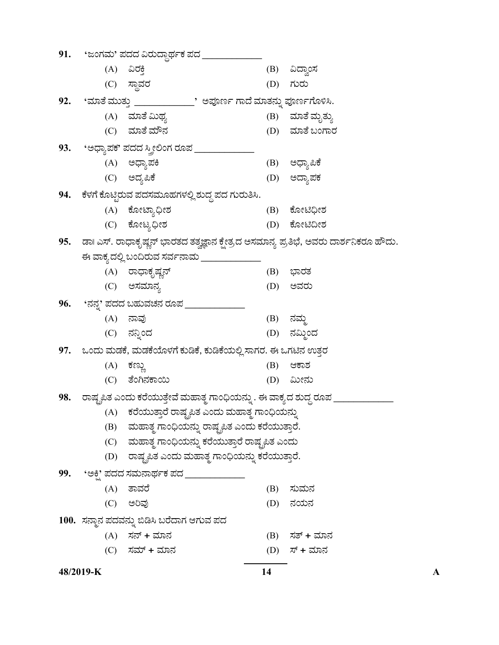|     | 91. 'ಜಂಗಮ' ಪದದ ವಿರುದ್ಧಾರ್ಥಕ ಪದ್ಧ                                      |                                                    |  |     |                                                                                       |  |  |
|-----|-----------------------------------------------------------------------|----------------------------------------------------|--|-----|---------------------------------------------------------------------------------------|--|--|
|     | (A)                                                                   | ವಿರಕ್ತಿ                                            |  | (B) | ವಿದ್ವಾಂಸ                                                                              |  |  |
|     | (C)                                                                   | ಸ್ಥಾವರ                                             |  | (D) | ಗುರು                                                                                  |  |  |
| 92. | 'ಮಾತೆ ಮುತ್ತು<br>_____________,' ಅಪೂರ್ಣ ಗಾದೆ ಮಾತನ್ನು ಪೂರ್ಣಗೊಳಿಸಿ.      |                                                    |  |     |                                                                                       |  |  |
|     |                                                                       | (A) ಮಾತೆ ಮಿಥ್ಯ                                     |  |     | (B) ಮಾತೆ ಮೃತ್ತು                                                                       |  |  |
|     |                                                                       | (C) ಮಾತೆ ಮೌನ                                       |  |     | (D) ಮಾತೆ ಬಂಗಾರ                                                                        |  |  |
| 93. |                                                                       | 'ಅಧ್ಯಾಪಕ' ಪದದ ಸ್ತ್ರೀಲಿಂಗ ರೂಪ _                     |  |     |                                                                                       |  |  |
|     |                                                                       | (A) ಅಧ್ಯಾಪಕಿ                                       |  |     | (B) ಅಧ್ಯಾಪಿಕೆ                                                                         |  |  |
|     |                                                                       | (C) ಅದ್ಯಪಿಕೆ                                       |  |     | (D) ಅದ್ಯಾಪಕ                                                                           |  |  |
| 94. |                                                                       | ಕೆಳಗೆ ಕೊಟ್ಟಿರುವ ಪದಸಮೂಹಗಳಲ್ಲಿ ಶುದ್ಧ ಪದ ಗುರುತಿಸಿ.    |  |     |                                                                                       |  |  |
|     |                                                                       | (A) ಕೋಟ್ಯಾಧೀಶ                                      |  |     | (B) ಕೋಟಿಧೀಶ                                                                           |  |  |
|     |                                                                       | (C) ಕೋಟ್ಯಧೀಶ                                       |  |     | (D) ಕೋಟಿದೀಶ                                                                           |  |  |
| 95. |                                                                       |                                                    |  |     | ಡಾ   ಎಸ್. ರಾಧಾಕೃಷ್ಣನ್ ಭಾರತದ ತತ್ವಜ್ಞಾನ ಕ್ಷೇತ್ರದ ಅಸಮಾನ್ಯ ಪ್ರತಿಭೆ, ಅವರು ದಾರ್ಶನಿಕರೂ ಹೌದು. |  |  |
|     |                                                                       | ಈ ವಾಕ್ಯದಲ್ಲಿ ಬಂದಿರುವ ಸರ್ವನಾಮ __                    |  |     |                                                                                       |  |  |
|     |                                                                       | (A) ರಾಧಾಕೃಷ್ಣನ್                                    |  | (B) | ಭಾರತ                                                                                  |  |  |
|     |                                                                       | (C) ಅಸಮಾನ್ಯ                                        |  | (D) | ಅವರು                                                                                  |  |  |
|     |                                                                       | 96. 'ನನ್ನ' ಪದದ ಬಹುವಚನ ರೂಪ_                         |  |     |                                                                                       |  |  |
|     |                                                                       | (A) ನಾವು                                           |  |     | (B) ನಮ್ಮ                                                                              |  |  |
|     |                                                                       | (C) ನನ್ನಿಂದ                                        |  | (D) | ನಮ್ಜಿಂದ                                                                               |  |  |
|     | 97. ಒಂದು ಮಡಕೆ, ಮಡಕೆಯೊಳಗೆ ಕುಡಿಕೆ, ಕುಡಿಕೆಯಲ್ಲಿ ಸಾಗರ. ಈ ಒಗಟಿನ ಉತ್ತರ      |                                                    |  |     |                                                                                       |  |  |
|     | (A)                                                                   | ಕಣ್ಣು                                              |  | (B) | ಆಕಾಶ                                                                                  |  |  |
|     |                                                                       | (C) ತೆಂಗಿನಕಾಯಿ                                     |  | (D) | ಮೀನು                                                                                  |  |  |
| 98. | ರಾಷ್ಟ್ರಪಿತ ಎಂದು ಕರೆಯುತ್ತೇವೆ ಮಹಾತ್ಮ ಗಾಂಧಿಯನ್ನು . ಈ ವಾಕ್ಯ ದ ಶುದ್ಧ ರೂಪ . |                                                    |  |     |                                                                                       |  |  |
|     |                                                                       | (A) ಕರೆಯುತ್ತಾರೆ ರಾಷ್ಟ್ರಪಿತ ಎಂದು ಮಹಾತ್ಮ ಗಾಂಧಿಯನ್ನು  |  |     |                                                                                       |  |  |
|     |                                                                       | (B) ಮಹಾತ್ಮ ಗಾಂಧಿಯನ್ನು ರಾಷ್ಟ್ರಪಿತ ಎಂದು ಕರೆಯುತ್ತಾರೆ. |  |     |                                                                                       |  |  |
|     |                                                                       | (C) ಮಹಾತ್ಮ ಗಾಂಧಿಯನ್ನು ಕರೆಯುತ್ತಾರೆ ರಾಷ್ಟ್ರಪಿತ ಎಂದು  |  |     |                                                                                       |  |  |
|     | (D) ರಾಷ್ಟ್ರಪಿತ ಎಂದು ಮಹಾತ್ಚ ಗಾಂಧಿಯನ್ನು ಕರೆಯುತ್ತಾರೆ.                    |                                                    |  |     |                                                                                       |  |  |
| 99. |                                                                       | <u>'ಅಕ್ಷಿ' ಪದದ ಸಮನಾರ್ಥಕ ಪದ ____________</u>        |  |     |                                                                                       |  |  |
|     |                                                                       | (A) ತಾವರೆ                                          |  | (B) | ಸುಮನ                                                                                  |  |  |
|     |                                                                       | (C) ಅರಿವು                                          |  | (D) | ನಯನ                                                                                   |  |  |
|     | 100. ಸನ್ಮಾನ ಪದವನ್ನು ಬಿಡಿಸಿ ಬರೆದಾಗ ಆಗುವ ಪದ                             |                                                    |  |     |                                                                                       |  |  |
|     |                                                                       | (A) ಸನ್ + ಮಾನ                                      |  |     | (B) ಸತ್ <del>+</del> ಮಾನ                                                              |  |  |
|     |                                                                       | (C) ಸಮ್ + ಮಾನ                                      |  |     | (D) ಸ್ + ಮಾನ                                                                          |  |  |
|     |                                                                       |                                                    |  |     |                                                                                       |  |  |

48/2019-K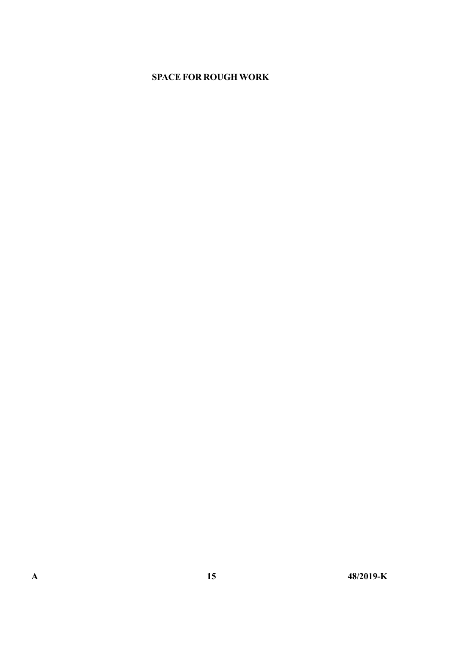# SPACE FOR ROUGH WORK